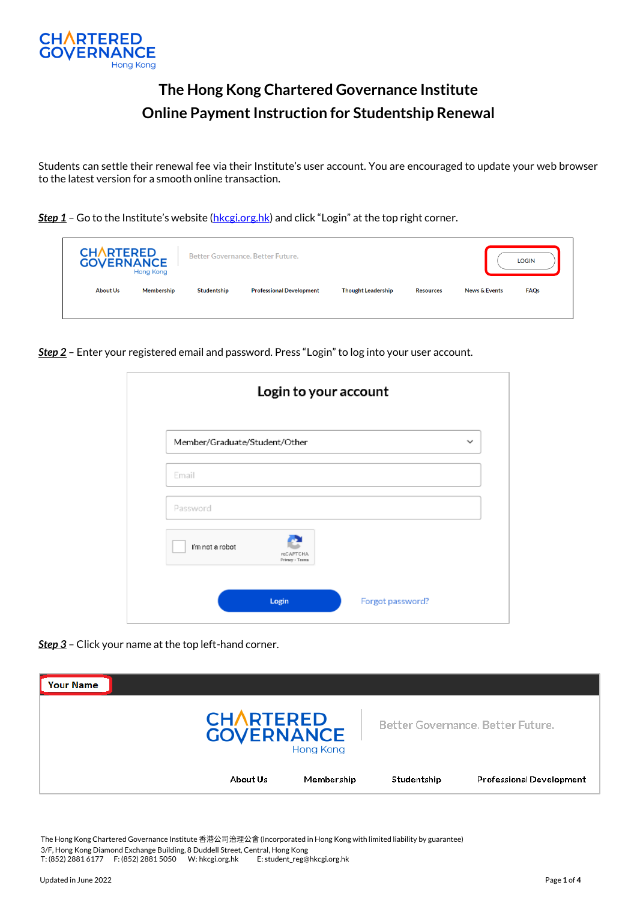

## **The Hong Kong Chartered Governance Institute Online Payment Instruction for Studentship Renewal**

Students can settle their renewal fee via their Institute's user account. You are encouraged to update your web browser to the latest version for a smooth online transaction.

**Step 1** – Go to the Institute's website ([hkcgi.org.hk](http://www.hkcgi.org.hk/)) and click "Login" at the top right corner.

| <b>CHARTERED</b><br><b>GOVERNANCE</b><br><b>Hong Kong</b> |            | Better Governance, Better Future. |                                 |                           | <b>LOGIN</b>     |                                         |  |
|-----------------------------------------------------------|------------|-----------------------------------|---------------------------------|---------------------------|------------------|-----------------------------------------|--|
| <b>About Us</b>                                           | Membership | Studentship                       | <b>Professional Development</b> | <b>Thought Leadership</b> | <b>Resources</b> | <b>FAQs</b><br><b>News &amp; Events</b> |  |

*Step 2* – Enter your registered email and password. Press "Login" to log into your user account.

| Member/Graduate/Student/Other |                                     | $\checkmark$ |
|-------------------------------|-------------------------------------|--------------|
| Email                         |                                     |              |
| Password                      |                                     |              |
| I'm not a robot               | <b>reCAPTCHA</b><br>Privacy - Terma |              |

*Step 3* – Click your name at the top left-hand corner.

| <b>Your Name</b> |                                                           |            |             |                                   |
|------------------|-----------------------------------------------------------|------------|-------------|-----------------------------------|
|                  | <b>CHARTERED</b><br><b>GOVERNANCE</b><br><b>Hong Kong</b> |            |             | Better Governance, Better Future, |
|                  | About Us                                                  | Membership | Studentship | <b>Professional Development</b>   |

The Hong Kong Chartered Governance Institute 香港公司治理公會 (Incorporated in Hong Kong with limited liability by guarantee) 3/F, Hong Kong Diamond Exchange Building, 8 Duddell Street, Central, Hong Kong T: (852) 2881 6177 F: (852) 2881 5050 W: hkcgi.org.hk E: student\_reg@hkcgi.org.hk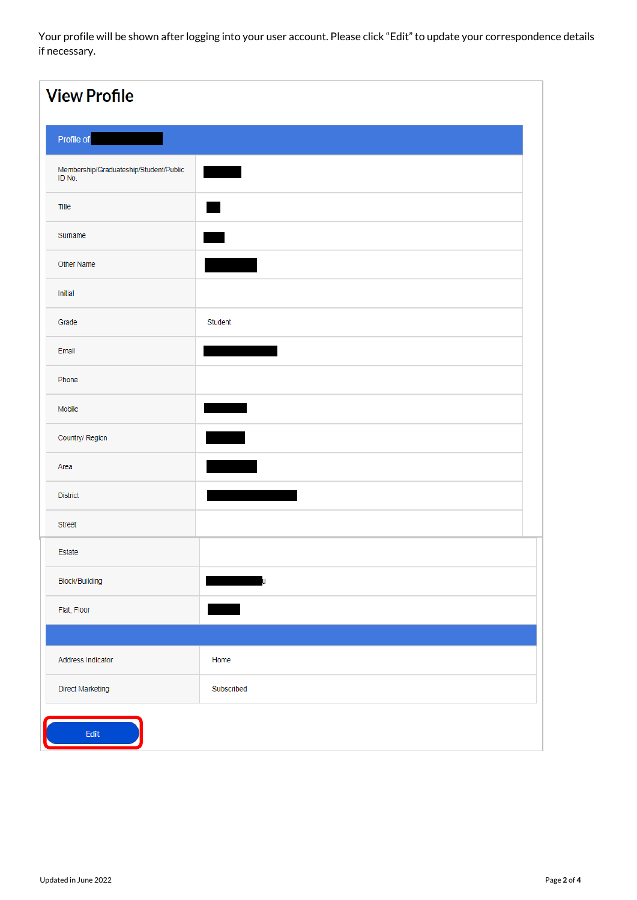Your profile will be shown after logging into your user account. Please click "Edit" to update your correspondence details if necessary.

| <b>View Profile</b>                              |               |
|--------------------------------------------------|---------------|
| Profile of                                       |               |
| Membership/Graduateship/Student/Public<br>ID No. |               |
| Title                                            |               |
| Surname                                          |               |
| Other Name                                       |               |
| Initial                                          |               |
| Grade                                            | Student       |
| Email                                            |               |
| Phone                                            |               |
| Mobile                                           |               |
| Country/ Region                                  | <u> Light</u> |
| Area                                             |               |
| <b>District</b>                                  |               |
| <b>Street</b>                                    |               |
| Estate                                           |               |
| Block/Building                                   | ū             |
| Flat, Floor                                      |               |
|                                                  |               |
| Address Indicator                                | Home          |
| Direct Marketing                                 | Subscribed    |
| Edit                                             |               |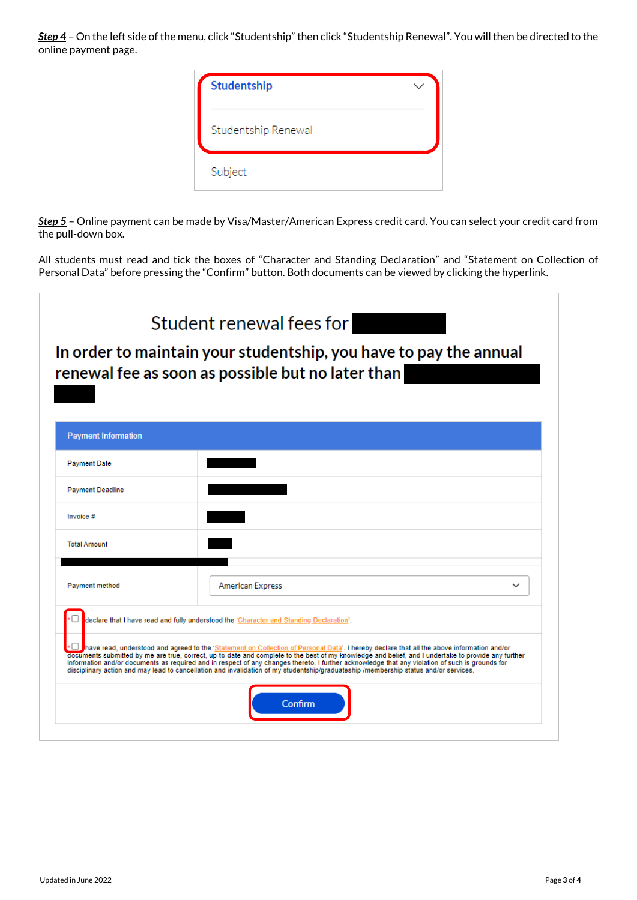**Step 4** - On the left side of the menu, click "Studentship" then click "Studentship Renewal". You will then be directed to the online payment page.

| Studentship         |  |
|---------------------|--|
| Studentship Renewal |  |
| Subject             |  |

*Step 5* – Online payment can be made by Visa/Master/American Express credit card. You can select your credit card from the pull-down box.

All students must read and tick the boxes of "Character and Standing Declaration" and "Statement on Collection of Personal Data" before pressing the "Confirm" button. Both documents can be viewed by clicking the hyperlink.

|                            | Student renewal fees for<br>In order to maintain your studentship, you have to pay the annual<br>renewal fee as soon as possible but no later than<br><u> Tarihin ya Tanzania ya Tanzania ya Tanzania ya Tanzania ya Tanzania ya Tanzania ya Tanzania ya Tanzania ya Ta</u>                                                                                                                                                                                                                                                                                                                  |
|----------------------------|----------------------------------------------------------------------------------------------------------------------------------------------------------------------------------------------------------------------------------------------------------------------------------------------------------------------------------------------------------------------------------------------------------------------------------------------------------------------------------------------------------------------------------------------------------------------------------------------|
| <b>Payment Information</b> |                                                                                                                                                                                                                                                                                                                                                                                                                                                                                                                                                                                              |
| <b>Payment Date</b>        |                                                                                                                                                                                                                                                                                                                                                                                                                                                                                                                                                                                              |
| <b>Payment Deadline</b>    |                                                                                                                                                                                                                                                                                                                                                                                                                                                                                                                                                                                              |
| Invoice #                  |                                                                                                                                                                                                                                                                                                                                                                                                                                                                                                                                                                                              |
| <b>Total Amount</b>        |                                                                                                                                                                                                                                                                                                                                                                                                                                                                                                                                                                                              |
| Payment method             | <b>American Express</b>                                                                                                                                                                                                                                                                                                                                                                                                                                                                                                                                                                      |
|                            | declare that I have read and fully understood the 'Character and Standing Declaration'.                                                                                                                                                                                                                                                                                                                                                                                                                                                                                                      |
|                            | have read, understood and agreed to the 'Statement on Collection of Personal Data'. I hereby declare that all the above information and/or<br>documents submitted by me are true, correct, up-to-date and complete to the best of my knowledge and belief, and I undertake to provide any further<br>information and/or documents as required and in respect of any changes thereto. I further acknowledge that any violation of such is grounds for<br>disciplinary action and may lead to cancellation and invalidation of my studentship/graduateship /membership status and/or services. |
|                            | <b>Confirm</b>                                                                                                                                                                                                                                                                                                                                                                                                                                                                                                                                                                               |